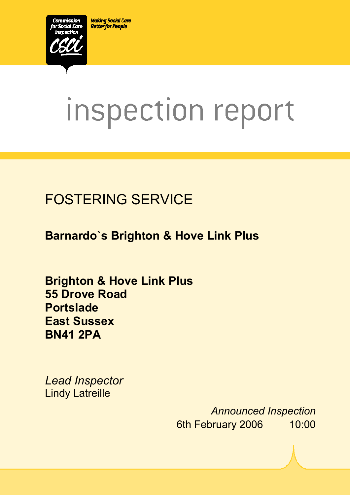**Making Social Care Better for People** 



# inspection report

# FOSTERING SERVICE

**Barnardo`s Brighton & Hove Link Plus** 

 $X_1$ 10029.doc Version 1.40 Page 1.40 Page 1.40 Page 1.40 Page 1.40 Page 1.40 Page 1.40 Page 1.40 Page 1.40 Page 1.40 Page 1.40 Page 1.40 Page 1.40 Page 1.40 Page 1.40 Page 1.40 Page 1.40 Page 1.40 Page 1.40 Page 1.40 Pag

**Brighton & Hove Link Plus 55 Drove Road Portslade East Sussex BN41 2PA** 

*Lead Inspector*  Lindy Latreille

> *Announced Inspection* 6th February 2006 10:00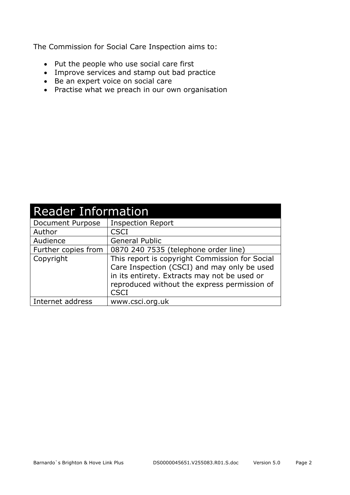The Commission for Social Care Inspection aims to:

- Put the people who use social care first
- Improve services and stamp out bad practice
- Be an expert voice on social care
- Practise what we preach in our own organisation

| <b>Reader Information</b> |                                                                                                                                                                                                              |  |  |
|---------------------------|--------------------------------------------------------------------------------------------------------------------------------------------------------------------------------------------------------------|--|--|
| Document Purpose          | <b>Inspection Report</b>                                                                                                                                                                                     |  |  |
| Author                    | <b>CSCI</b>                                                                                                                                                                                                  |  |  |
| Audience                  | <b>General Public</b>                                                                                                                                                                                        |  |  |
| Further copies from       | 0870 240 7535 (telephone order line)                                                                                                                                                                         |  |  |
| Copyright                 | This report is copyright Commission for Social<br>Care Inspection (CSCI) and may only be used<br>in its entirety. Extracts may not be used or<br>reproduced without the express permission of<br><b>CSCI</b> |  |  |
| Internet address          | www.csci.org.uk                                                                                                                                                                                              |  |  |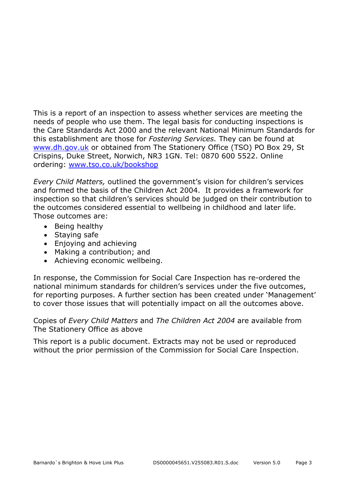This is a report of an inspection to assess whether services are meeting the needs of people who use them. The legal basis for conducting inspections is the Care Standards Act 2000 and the relevant National Minimum Standards for this establishment are those for *Fostering Services.* They can be found at www.dh.gov.uk or obtained from The Stationery Office (TSO) PO Box 29, St Crispins, Duke Street, Norwich, NR3 1GN. Tel: 0870 600 5522. Online ordering: www.tso.co.uk/bookshop

*Every Child Matters,* outlined the government's vision for children's services and formed the basis of the Children Act 2004. It provides a framework for inspection so that children's services should be judged on their contribution to the outcomes considered essential to wellbeing in childhood and later life. Those outcomes are:

- Being healthy
- Staying safe
- Enjoying and achieving
- Making a contribution; and
- Achieving economic wellbeing.

In response, the Commission for Social Care Inspection has re-ordered the national minimum standards for children's services under the five outcomes, for reporting purposes. A further section has been created under 'Management' to cover those issues that will potentially impact on all the outcomes above.

Copies of *Every Child Matters* and *The Children Act 2004* are available from The Stationery Office as above

This report is a public document. Extracts may not be used or reproduced without the prior permission of the Commission for Social Care Inspection.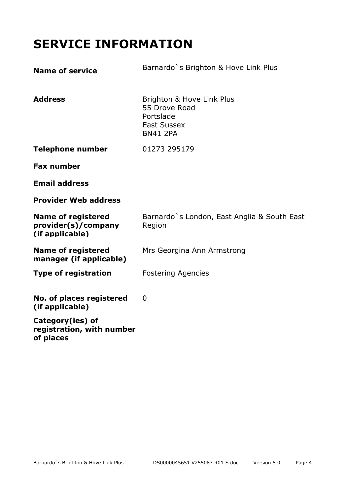# **SERVICE INFORMATION**

| <b>Name of service</b>                                              | Barnardo's Brighton & Hove Link Plus                                                             |
|---------------------------------------------------------------------|--------------------------------------------------------------------------------------------------|
| <b>Address</b>                                                      | Brighton & Hove Link Plus<br>55 Drove Road<br>Portslade<br><b>East Sussex</b><br><b>BN41 2PA</b> |
| <b>Telephone number</b>                                             | 01273 295179                                                                                     |
| <b>Fax number</b>                                                   |                                                                                                  |
| <b>Email address</b>                                                |                                                                                                  |
| <b>Provider Web address</b>                                         |                                                                                                  |
| <b>Name of registered</b><br>provider(s)/company<br>(if applicable) | Barnardo's London, East Anglia & South East<br>Region                                            |
| <b>Name of registered</b><br>manager (if applicable)                | Mrs Georgina Ann Armstrong                                                                       |
| <b>Type of registration</b>                                         | <b>Fostering Agencies</b>                                                                        |
| No. of places registered<br>(if applicable)                         | $\mathbf{0}$                                                                                     |
| Category(ies) of<br>registration, with number<br>of places          |                                                                                                  |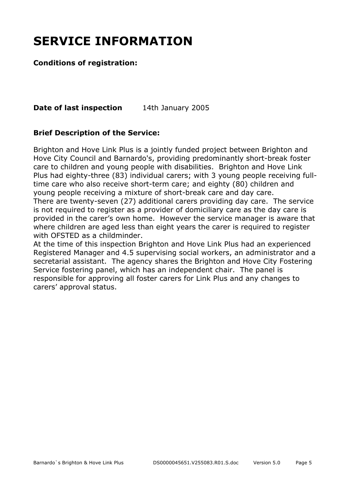# **SERVICE INFORMATION**

#### **Conditions of registration:**

**Date of last inspection** 14th January 2005

#### **Brief Description of the Service:**

Brighton and Hove Link Plus is a jointly funded project between Brighton and Hove City Council and Barnardo's, providing predominantly short-break foster care to children and young people with disabilities. Brighton and Hove Link Plus had eighty-three (83) individual carers; with 3 young people receiving fulltime care who also receive short-term care; and eighty (80) children and young people receiving a mixture of short-break care and day care. There are twenty-seven (27) additional carers providing day care. The service

is not required to register as a provider of domiciliary care as the day care is provided in the carer's own home. However the service manager is aware that where children are aged less than eight years the carer is required to register with OFSTED as a childminder.

At the time of this inspection Brighton and Hove Link Plus had an experienced Registered Manager and 4.5 supervising social workers, an administrator and a secretarial assistant. The agency shares the Brighton and Hove City Fostering Service fostering panel, which has an independent chair. The panel is responsible for approving all foster carers for Link Plus and any changes to carers' approval status.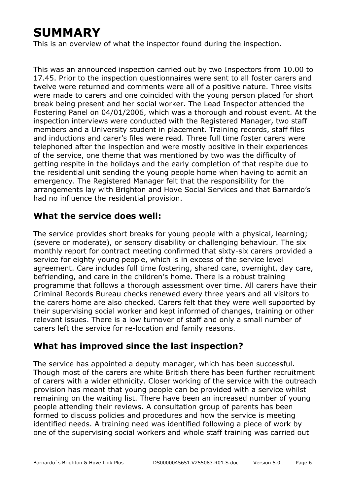# **SUMMARY**

This is an overview of what the inspector found during the inspection.

This was an announced inspection carried out by two Inspectors from 10.00 to 17.45. Prior to the inspection questionnaires were sent to all foster carers and twelve were returned and comments were all of a positive nature. Three visits were made to carers and one coincided with the young person placed for short break being present and her social worker. The Lead Inspector attended the Fostering Panel on 04/01/2006, which was a thorough and robust event. At the inspection interviews were conducted with the Registered Manager, two staff members and a University student in placement. Training records, staff files and inductions and carer's files were read. Three full time foster carers were telephoned after the inspection and were mostly positive in their experiences of the service, one theme that was mentioned by two was the difficulty of getting respite in the holidays and the early completion of that respite due to the residential unit sending the young people home when having to admit an emergency. The Registered Manager felt that the responsibility for the arrangements lay with Brighton and Hove Social Services and that Barnardo's had no influence the residential provision.

#### **What the service does well:**

The service provides short breaks for young people with a physical, learning; (severe or moderate), or sensory disability or challenging behaviour. The six monthly report for contract meeting confirmed that sixty-six carers provided a service for eighty young people, which is in excess of the service level agreement. Care includes full time fostering, shared care, overnight, day care, befriending, and care in the children's home. There is a robust training programme that follows a thorough assessment over time. All carers have their Criminal Records Bureau checks renewed every three years and all visitors to the carers home are also checked. Carers felt that they were well supported by their supervising social worker and kept informed of changes, training or other relevant issues. There is a low turnover of staff and only a small number of carers left the service for re-location and family reasons.

### **What has improved since the last inspection?**

The service has appointed a deputy manager, which has been successful. Though most of the carers are white British there has been further recruitment of carers with a wider ethnicity. Closer working of the service with the outreach provision has meant that young people can be provided with a service whilst remaining on the waiting list. There have been an increased number of young people attending their reviews. A consultation group of parents has been formed to discuss policies and procedures and how the service is meeting identified needs. A training need was identified following a piece of work by one of the supervising social workers and whole staff training was carried out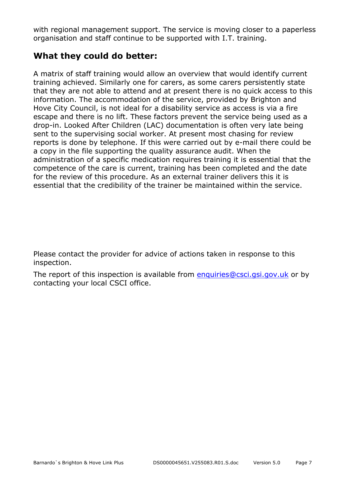with regional management support. The service is moving closer to a paperless organisation and staff continue to be supported with I.T. training.

#### **What they could do better:**

A matrix of staff training would allow an overview that would identify current training achieved. Similarly one for carers, as some carers persistently state that they are not able to attend and at present there is no quick access to this information. The accommodation of the service, provided by Brighton and Hove City Council, is not ideal for a disability service as access is via a fire escape and there is no lift. These factors prevent the service being used as a drop-in. Looked After Children (LAC) documentation is often very late being sent to the supervising social worker. At present most chasing for review reports is done by telephone. If this were carried out by e-mail there could be a copy in the file supporting the quality assurance audit. When the administration of a specific medication requires training it is essential that the competence of the care is current, training has been completed and the date for the review of this procedure. As an external trainer delivers this it is essential that the credibility of the trainer be maintained within the service.

Please contact the provider for advice of actions taken in response to this inspection.

The report of this inspection is available from enquiries@csci.gsi.gov.uk or by contacting your local CSCI office.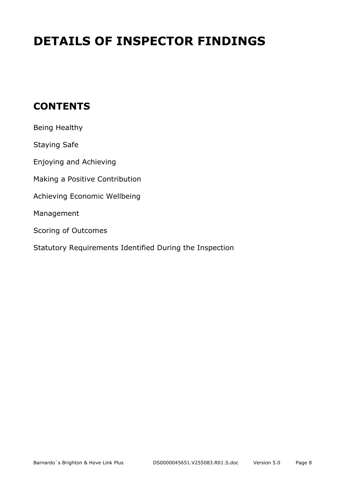# **DETAILS OF INSPECTOR FINDINGS**

## **CONTENTS**

| Being Healthy                                           |
|---------------------------------------------------------|
| <b>Staying Safe</b>                                     |
| Enjoying and Achieving                                  |
| Making a Positive Contribution                          |
| Achieving Economic Wellbeing                            |
| Management                                              |
| Scoring of Outcomes                                     |
| Statutory Requirements Identified During the Inspection |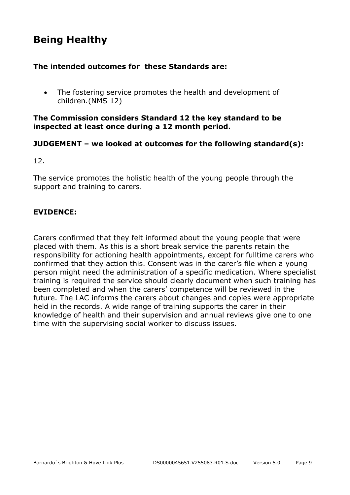## **Being Healthy**

#### **The intended outcomes for these Standards are:**

• The fostering service promotes the health and development of children.(NMS 12)

#### **The Commission considers Standard 12 the key standard to be inspected at least once during a 12 month period.**

#### **JUDGEMENT – we looked at outcomes for the following standard(s):**

12.

The service promotes the holistic health of the young people through the support and training to carers.

#### **EVIDENCE:**

Carers confirmed that they felt informed about the young people that were placed with them. As this is a short break service the parents retain the responsibility for actioning health appointments, except for fulltime carers who confirmed that they action this. Consent was in the carer's file when a young person might need the administration of a specific medication. Where specialist training is required the service should clearly document when such training has been completed and when the carers' competence will be reviewed in the future. The LAC informs the carers about changes and copies were appropriate held in the records. A wide range of training supports the carer in their knowledge of health and their supervision and annual reviews give one to one time with the supervising social worker to discuss issues.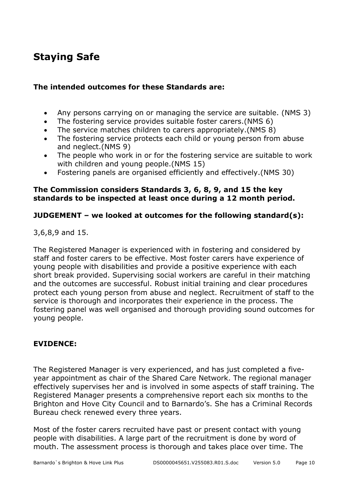## **Staying Safe**

#### **The intended outcomes for these Standards are:**

- Any persons carrying on or managing the service are suitable. (NMS 3)
- The fostering service provides suitable foster carers.(NMS 6)
- The service matches children to carers appropriately.(NMS 8)
- The fostering service protects each child or young person from abuse and neglect.(NMS 9)
- The people who work in or for the fostering service are suitable to work with children and young people.(NMS 15)
- Fostering panels are organised efficiently and effectively.(NMS 30)

#### **The Commission considers Standards 3, 6, 8, 9, and 15 the key standards to be inspected at least once during a 12 month period.**

#### **JUDGEMENT – we looked at outcomes for the following standard(s):**

3,6,8,9 and 15.

The Registered Manager is experienced with in fostering and considered by staff and foster carers to be effective. Most foster carers have experience of young people with disabilities and provide a positive experience with each short break provided. Supervising social workers are careful in their matching and the outcomes are successful. Robust initial training and clear procedures protect each young person from abuse and neglect. Recruitment of staff to the service is thorough and incorporates their experience in the process. The fostering panel was well organised and thorough providing sound outcomes for young people.

#### **EVIDENCE:**

The Registered Manager is very experienced, and has just completed a fiveyear appointment as chair of the Shared Care Network. The regional manager effectively supervises her and is involved in some aspects of staff training. The Registered Manager presents a comprehensive report each six months to the Brighton and Hove City Council and to Barnardo's. She has a Criminal Records Bureau check renewed every three years.

Most of the foster carers recruited have past or present contact with young people with disabilities. A large part of the recruitment is done by word of mouth. The assessment process is thorough and takes place over time. The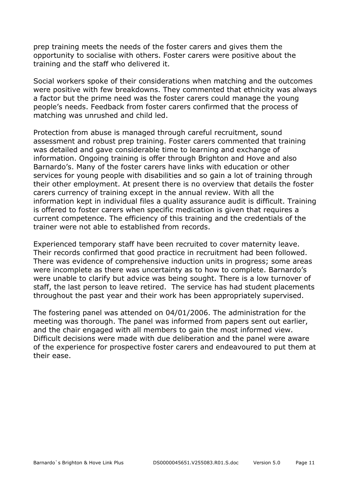prep training meets the needs of the foster carers and gives them the opportunity to socialise with others. Foster carers were positive about the training and the staff who delivered it.

Social workers spoke of their considerations when matching and the outcomes were positive with few breakdowns. They commented that ethnicity was always a factor but the prime need was the foster carers could manage the young people's needs. Feedback from foster carers confirmed that the process of matching was unrushed and child led.

Protection from abuse is managed through careful recruitment, sound assessment and robust prep training. Foster carers commented that training was detailed and gave considerable time to learning and exchange of information. Ongoing training is offer through Brighton and Hove and also Barnardo's. Many of the foster carers have links with education or other services for young people with disabilities and so gain a lot of training through their other employment. At present there is no overview that details the foster carers currency of training except in the annual review. With all the information kept in individual files a quality assurance audit is difficult. Training is offered to foster carers when specific medication is given that requires a current competence. The efficiency of this training and the credentials of the trainer were not able to established from records.

Experienced temporary staff have been recruited to cover maternity leave. Their records confirmed that good practice in recruitment had been followed. There was evidence of comprehensive induction units in progress; some areas were incomplete as there was uncertainty as to how to complete. Barnardo's were unable to clarify but advice was being sought. There is a low turnover of staff, the last person to leave retired. The service has had student placements throughout the past year and their work has been appropriately supervised.

The fostering panel was attended on 04/01/2006. The administration for the meeting was thorough. The panel was informed from papers sent out earlier, and the chair engaged with all members to gain the most informed view. Difficult decisions were made with due deliberation and the panel were aware of the experience for prospective foster carers and endeavoured to put them at their ease.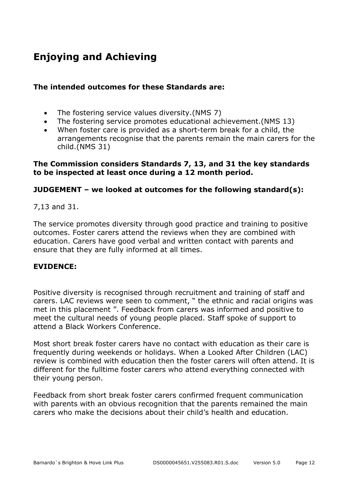# **Enjoying and Achieving**

#### **The intended outcomes for these Standards are:**

- The fostering service values diversity.(NMS 7)
- The fostering service promotes educational achievement.(NMS 13)
- When foster care is provided as a short-term break for a child, the arrangements recognise that the parents remain the main carers for the child.(NMS 31)

#### **The Commission considers Standards 7, 13, and 31 the key standards to be inspected at least once during a 12 month period.**

#### **JUDGEMENT – we looked at outcomes for the following standard(s):**

7,13 and 31.

The service promotes diversity through good practice and training to positive outcomes. Foster carers attend the reviews when they are combined with education. Carers have good verbal and written contact with parents and ensure that they are fully informed at all times.

#### **EVIDENCE:**

Positive diversity is recognised through recruitment and training of staff and carers. LAC reviews were seen to comment, " the ethnic and racial origins was met in this placement ". Feedback from carers was informed and positive to meet the cultural needs of young people placed. Staff spoke of support to attend a Black Workers Conference.

Most short break foster carers have no contact with education as their care is frequently during weekends or holidays. When a Looked After Children (LAC) review is combined with education then the foster carers will often attend. It is different for the fulltime foster carers who attend everything connected with their young person.

Feedback from short break foster carers confirmed frequent communication with parents with an obvious recognition that the parents remained the main carers who make the decisions about their child's health and education.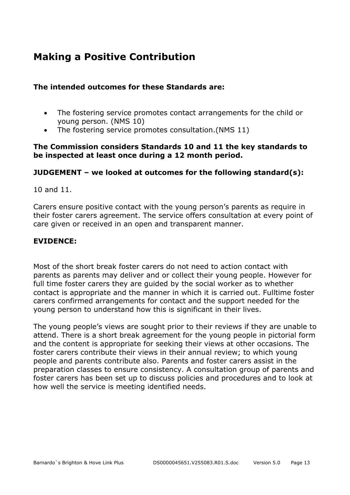## **Making a Positive Contribution**

#### **The intended outcomes for these Standards are:**

- The fostering service promotes contact arrangements for the child or young person. (NMS 10)
- The fostering service promotes consultation.(NMS 11)

#### **The Commission considers Standards 10 and 11 the key standards to be inspected at least once during a 12 month period.**

#### **JUDGEMENT – we looked at outcomes for the following standard(s):**

10 and 11.

Carers ensure positive contact with the young person's parents as require in their foster carers agreement. The service offers consultation at every point of care given or received in an open and transparent manner.

#### **EVIDENCE:**

Most of the short break foster carers do not need to action contact with parents as parents may deliver and or collect their young people. However for full time foster carers they are guided by the social worker as to whether contact is appropriate and the manner in which it is carried out. Fulltime foster carers confirmed arrangements for contact and the support needed for the young person to understand how this is significant in their lives.

The young people's views are sought prior to their reviews if they are unable to attend. There is a short break agreement for the young people in pictorial form and the content is appropriate for seeking their views at other occasions. The foster carers contribute their views in their annual review; to which young people and parents contribute also. Parents and foster carers assist in the preparation classes to ensure consistency. A consultation group of parents and foster carers has been set up to discuss policies and procedures and to look at how well the service is meeting identified needs.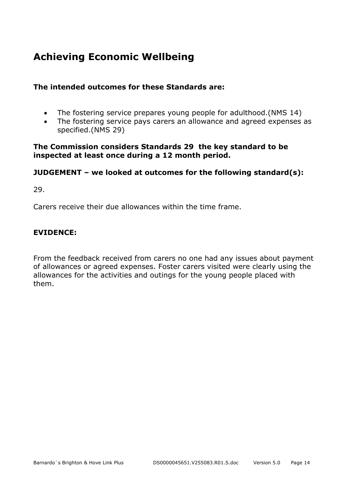## **Achieving Economic Wellbeing**

#### **The intended outcomes for these Standards are:**

- The fostering service prepares young people for adulthood.(NMS 14)
- The fostering service pays carers an allowance and agreed expenses as specified.(NMS 29)

#### **The Commission considers Standards 29 the key standard to be inspected at least once during a 12 month period.**

#### **JUDGEMENT – we looked at outcomes for the following standard(s):**

29.

Carers receive their due allowances within the time frame.

#### **EVIDENCE:**

From the feedback received from carers no one had any issues about payment of allowances or agreed expenses. Foster carers visited were clearly using the allowances for the activities and outings for the young people placed with them.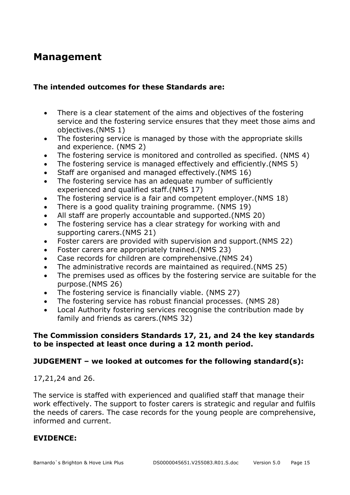## **Management**

#### **The intended outcomes for these Standards are:**

- There is a clear statement of the aims and objectives of the fostering service and the fostering service ensures that they meet those aims and objectives.(NMS 1)
- The fostering service is managed by those with the appropriate skills and experience. (NMS 2)
- The fostering service is monitored and controlled as specified. (NMS 4)
- The fostering service is managed effectively and efficiently.(NMS 5)
- Staff are organised and managed effectively.(NMS 16)
- The fostering service has an adequate number of sufficiently experienced and qualified staff.(NMS 17)
- The fostering service is a fair and competent employer.(NMS 18)
- There is a good quality training programme. (NMS 19)
- All staff are properly accountable and supported.(NMS 20)
- The fostering service has a clear strategy for working with and supporting carers.(NMS 21)
- Foster carers are provided with supervision and support.(NMS 22)
- Foster carers are appropriately trained.(NMS 23)
- Case records for children are comprehensive.(NMS 24)
- The administrative records are maintained as required.(NMS 25)
- The premises used as offices by the fostering service are suitable for the purpose.(NMS 26)
- The fostering service is financially viable. (NMS 27)
- The fostering service has robust financial processes. (NMS 28)
- Local Authority fostering services recognise the contribution made by family and friends as carers.(NMS 32)

#### **The Commission considers Standards 17, 21, and 24 the key standards to be inspected at least once during a 12 month period.**

#### **JUDGEMENT – we looked at outcomes for the following standard(s):**

#### 17,21,24 and 26.

The service is staffed with experienced and qualified staff that manage their work effectively. The support to foster carers is strategic and regular and fulfils the needs of carers. The case records for the young people are comprehensive, informed and current.

#### **EVIDENCE:**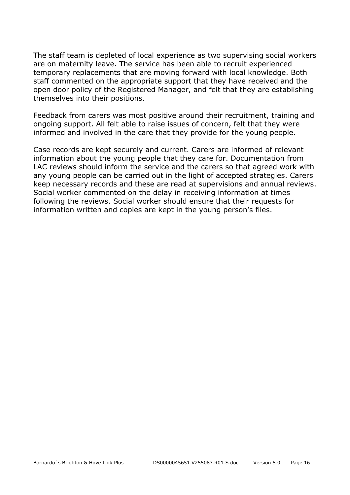The staff team is depleted of local experience as two supervising social workers are on maternity leave. The service has been able to recruit experienced temporary replacements that are moving forward with local knowledge. Both staff commented on the appropriate support that they have received and the open door policy of the Registered Manager, and felt that they are establishing themselves into their positions.

Feedback from carers was most positive around their recruitment, training and ongoing support. All felt able to raise issues of concern, felt that they were informed and involved in the care that they provide for the young people.

Case records are kept securely and current. Carers are informed of relevant information about the young people that they care for. Documentation from LAC reviews should inform the service and the carers so that agreed work with any young people can be carried out in the light of accepted strategies. Carers keep necessary records and these are read at supervisions and annual reviews. Social worker commented on the delay in receiving information at times following the reviews. Social worker should ensure that their requests for information written and copies are kept in the young person's files.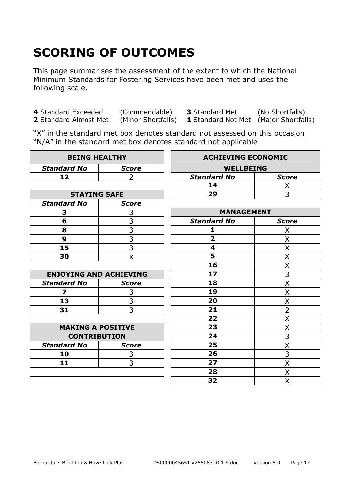# **SCORING OF OUTCOMES**

This page summarises the assessment of the extent to which the National Minimum Standards for Fostering Services have been met and uses the following scale.

**4** Standard Exceeded (Commendable) **3** Standard Met (No Shortfalls)

**1** Standard Not Met (Major Shortfalls)

"X" in the standard met box denotes standard not assessed on this occasion "N/A" in the standard met box denotes standard not applicable

| <b>BEING HEALTHY</b>          |                | <b>ACHIEVING ECONOMIC</b> |                |
|-------------------------------|----------------|---------------------------|----------------|
| <b>Standard No</b>            | <b>Score</b>   | <b>WELLBEING</b>          |                |
| 12                            | 2              | <b>Standard No</b>        | <b>Score</b>   |
|                               |                | 14                        | Χ              |
| <b>STAYING SAFE</b>           |                | 29                        | 3              |
| <b>Standard No</b>            | <b>Score</b>   |                           |                |
| 3                             | 3              | <b>MANAGEMENT</b>         |                |
| 6                             | 3              | <b>Standard No</b>        | <b>Score</b>   |
| 8                             | $\frac{3}{3}$  | 1                         | X              |
| $\boldsymbol{9}$              |                | $\overline{\mathbf{2}}$   | X              |
| 15                            | $\overline{3}$ | 4                         | Χ              |
| 30                            | X              | 5                         | Χ              |
|                               |                | 16                        | X              |
| <b>ENJOYING AND ACHIEVING</b> |                | 17                        | $\overline{3}$ |
| <b>Standard No</b>            | <b>Score</b>   | 18                        | X              |
| 7                             | 3              | 19                        | X              |
| 13                            | $\overline{3}$ | 20                        | X              |
| 31                            | $\overline{3}$ | 21                        | $\overline{2}$ |
|                               |                | 22                        | X              |
| <b>MAKING A POSITIVE</b>      |                | 23                        | X              |
| <b>CONTRIBUTION</b>           |                | 24                        | 3              |
| <b>Standard No</b>            | <b>Score</b>   | 25                        | X              |
| 10                            | 3              | 26                        | 3              |
| 11                            | 3              | 27                        | X              |
|                               |                | 28                        | Χ              |
|                               |                | 32                        | X              |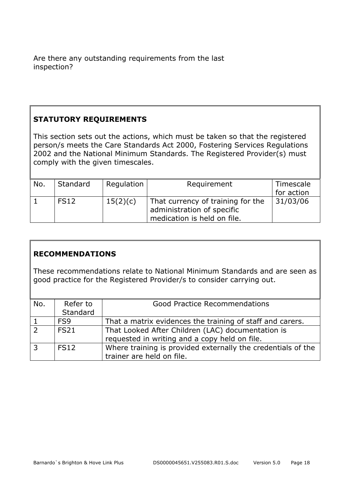Are there any outstanding requirements from the last inspection?

#### **STATUTORY REQUIREMENTS**

This section sets out the actions, which must be taken so that the registered person/s meets the Care Standards Act 2000, Fostering Services Regulations 2002 and the National Minimum Standards. The Registered Provider(s) must comply with the given timescales.

| No. | Standard    | Regulation | Requirement                                                     | Timescale  |
|-----|-------------|------------|-----------------------------------------------------------------|------------|
|     |             |            |                                                                 | for action |
|     | <b>FS12</b> | 15(2)(c)   | That currency of training for the<br>administration of specific | 31/03/06   |
|     |             |            | medication is held on file.                                     |            |

#### **RECOMMENDATIONS**

These recommendations relate to National Minimum Standards and are seen as good practice for the Registered Provider/s to consider carrying out.

| No.            | Refer to        | <b>Good Practice Recommendations</b>                         |
|----------------|-----------------|--------------------------------------------------------------|
|                | Standard        |                                                              |
|                | FS <sub>9</sub> | That a matrix evidences the training of staff and carers.    |
| $\overline{z}$ | <b>FS21</b>     | That Looked After Children (LAC) documentation is            |
|                |                 | requested in writing and a copy held on file.                |
| $\overline{3}$ | <b>FS12</b>     | Where training is provided externally the credentials of the |
|                |                 | trainer are held on file.                                    |